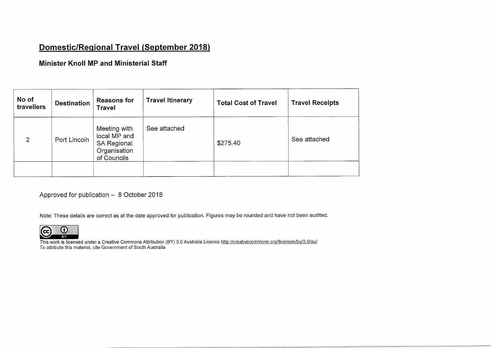## Domestic/Regional Travel (September 2018)

## Minister Knoll MP and Ministerial Staff

| No of<br>travellers | <b>Destination</b> | <b>Reasons for</b><br><b>Travel</b>                                               | <b>Travel Itinerary</b> | <b>Total Cost of Travel</b> | <b>Travel Receipts</b> |
|---------------------|--------------------|-----------------------------------------------------------------------------------|-------------------------|-----------------------------|------------------------|
| $\overline{2}$      | Port Lincoln       | Meeting with<br>local MP and<br><b>SA Regional</b><br>Organisation<br>of Councils | See attached            | \$275.40                    | See attached           |
|                     |                    |                                                                                   |                         |                             |                        |

Approved for publication - 8 October 2018

Note: These details are correct as at the date approved for publication. Figures may be rounded and have not been audited



This work is licensed under a Creative Commons Attribution (BY) 3.0 Australia Licence http://creativecommpns.org/licenses/by/3\_0/ay/ To attribute this material, cite Government of South Australia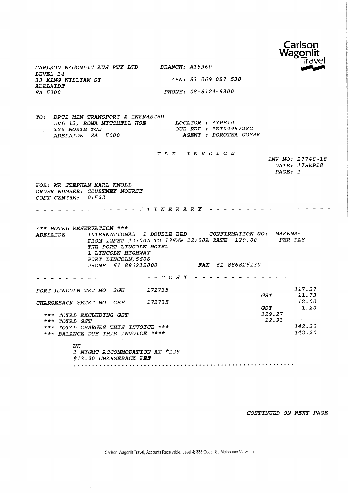

CARLSON WAGONLIT AUS PTY LTD LEVEL 14 33 KING WILLIAM ST ADELAIDE SA 5000

TO: DPTI MIN TRANSPORT & INFRASTRU LVL 12, ROMA MITCHELL HSE LOCATOR 136 NORTH TCE OUR REF AYPEIJ 136 NORTH TCE<br>ADELAIDE SA 5000 OUR REF : AEI0495728C AGENT : DOROTEA GOYAK

FOR: MR STEPHAN KARL KNOLL ORDER NUMBER: COURTNEY NOURSE COST CENTRE: 01522 TAX INVOICE . . . . . . . . . . . . . I T I N E R A R Y - - - - - - - - - - - - - - - - -INV NO: 27748-18 DATE: 17SEP18 PAGE: 1 \*\*\* HOTEL RESERVATION \*\*\* ADELAIDE INTERNATIONAL 1 DOUBLE BED CONFIRMATION NO: MAKENA-FROM 12SEP 12:00A TO 13SEP 12:00A RATE 129.00 PER DAY THE PORT LINCOLN HOTEL 1 LINCOLN HIGHWAY PORT LINCOLN, 5606 PHONE 61 886212000 FAX 61 886826130 PORT LINCOLN TKT NO 2GU CHARGEBACK FETKT NO CBF COST 172735 172735 \*\*\* TOTAL EXCLUDING GST \*\*\* TOTAL GST \*\*\* TOTAL CHARGES THIS INVOICE \*\*\* \*\*\* BALANCE DUE THIS INVOICE \*\*\*\* NK 1 NIGHT ACCOMMODATION AT \$129 \$13.20 CHARGEBACK FEE GST GST 129. 27 12. 93 117.27 11.73 12.00 1.20 142.20 142.20

BRANCH: Al5960

ABN: 83 069 087 538

PHONE: 08-8124-9300

CONTINUED ON NEXT PAGE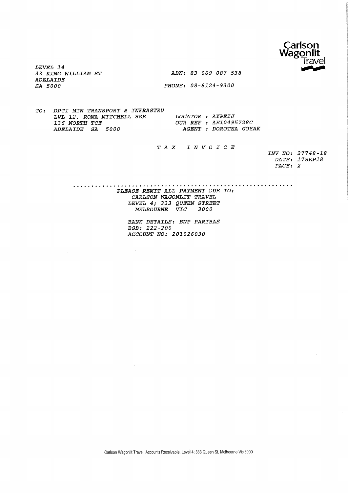

LEVEL 14 33 KING WILLIAM ST ABN: 83 069 087 538 ADELAIDE SA 5000 PHONE: 08-8124-9300

TO: DPTI MIN TRANSPORT & INFRASTRU LVL 12, ROMA MITCHELL HSE LOCATOR : AYPEIJ 136 NORTH TCE 61 COUR REF : AEI0495728C<br>ADELAIDE SA 5000 AGENT : DOROTEA GOY AGENT : DOROTEA GOYAK

 $\bar{\alpha}$ 

## TAX INVOICE

INV NO: 27748-18 DATE: 17SEP18 PAGE: 2

PLEASE REMIT ALL PAYMENT DUE TO: CARLSON WAGONLIT TRAVEL LEVEL 4; 333 QUEEN STREET MELBOURNE VIC 3000

> BANK DETAILS: BNP PARIBAS BSB: 222-200 ACCOUNT NO: 201026030

Carlson Wagonlit Travel, Accounts Receivable, Level 4; 333 Queen St, Melbourne Vie 3000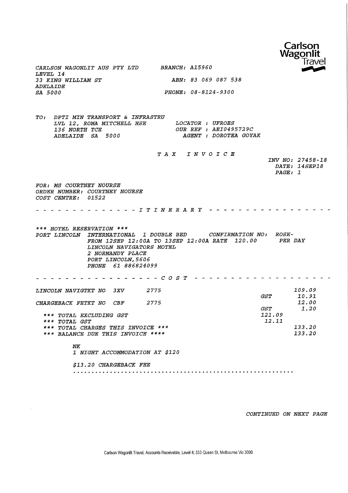

CARLSON WAGONLIT AUS PTY LTD BRANCH: A15960 LEVEL 14 33 KING WILLIAM ST ADELAIDE SA 5000

 $\sim$ 

ABN: 83 069 087 538 PHONE: 08-8124-9300

TO: DPTI MIN TRANSPORT & INFRASTRU LVL 12, ROMA MITCHELL HSE LOCATOR 136' WORTH TCE OUR REF 136 NORTH TCE<br>ADELAIDE SA 5000 LOCATOR : UFROES OUR REF : AEI0495729C AGENT : DOROTEA GOYAK

|                                                                                                                                                                                                       | TAX INVOICE     |                                              |  |
|-------------------------------------------------------------------------------------------------------------------------------------------------------------------------------------------------------|-----------------|----------------------------------------------|--|
|                                                                                                                                                                                                       |                 | INV NO: 27458-18<br>DATE: 14SEP18<br>PAGE: 1 |  |
| FOR: MS COURTNEY NOURSE                                                                                                                                                                               |                 |                                              |  |
| ORDER NUMBER: COURTNEY NOURSE<br>COST CENTRE:<br><i>01522</i>                                                                                                                                         |                 |                                              |  |
| $- I T I N E R A R Y$                                                                                                                                                                                 |                 |                                              |  |
| *** HOTEL RESERVATION ***                                                                                                                                                                             |                 |                                              |  |
| PORT LINCOLN INTERNATIONAL 1 DOUBLE BED CONFIRMATION NO:<br>FROM 12SEP 12:00A TO 13SEP 12:00A RATE 120.00<br>LINCOLN NAVIGATORS MOTEL<br>2 NORMANDY PLACE<br>PORT LINCOLN, 5606<br>PHONE 61 886824099 |                 | ROSE-<br>PER DAY                             |  |
| $-COS T$                                                                                                                                                                                              |                 |                                              |  |
| 2775<br>LINCOLN NAVIGTKT NO 3XV                                                                                                                                                                       |                 | 109.09                                       |  |
|                                                                                                                                                                                                       | <i>GST</i>      | 10.91<br>12.00                               |  |
| 2775<br>CHARGEBACK FETKT NO<br>CBF                                                                                                                                                                    | $\mathcal{GST}$ | 1.20                                         |  |
| *** TOTAL EXCLUDING GST<br>*** TOTAL GST                                                                                                                                                              |                 | 121.09<br>12.11                              |  |
| *** TOTAL CHARGES THIS INVOICE ***                                                                                                                                                                    |                 | 133.20                                       |  |
| *** BALANCE DUE THIS INVOICE ****                                                                                                                                                                     |                 | 133.20                                       |  |
| <b>NK</b><br>1 NIGHT ACCOMMODATION AT \$120                                                                                                                                                           |                 |                                              |  |
| \$13.20 CHARGEBACK FEE                                                                                                                                                                                |                 |                                              |  |
|                                                                                                                                                                                                       |                 |                                              |  |

CONTINUED ON NEXT PAGE

Carlson Wagonlit Travel, Accounts Receivable, Level 4; 333 Queen St, Melbourne Vie 3000